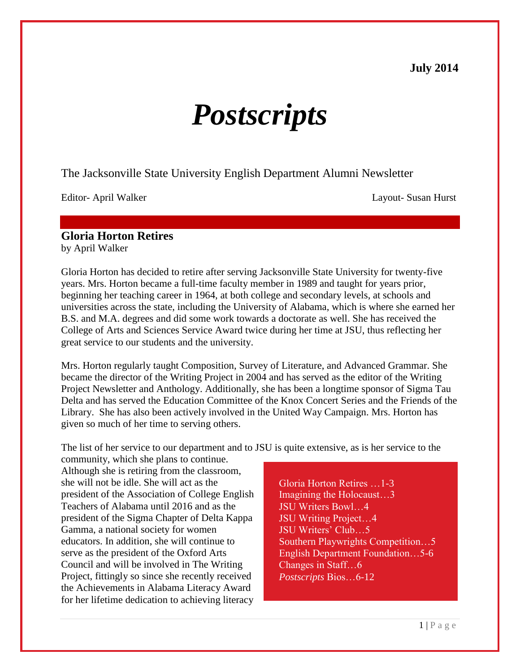# **July 2014**

# *Postscripts*

The Jacksonville State University English Department Alumni Newsletter

Editor- April Walker Layout- Susan Hurst

#### **Gloria Horton Retires**  by April Walker

Gloria Horton has decided to retire after serving Jacksonville State University for twenty-five years. Mrs. Horton became a full-time faculty member in 1989 and taught for years prior, beginning her teaching career in 1964, at both college and secondary levels, at schools and universities across the state, including the University of Alabama, which is where she earned her B.S. and M.A. degrees and did some work towards a doctorate as well. She has received the College of Arts and Sciences Service Award twice during her time at JSU, thus reflecting her great service to our students and the university.

Mrs. Horton regularly taught Composition, Survey of Literature, and Advanced Grammar. She became the director of the Writing Project in 2004 and has served as the editor of the Writing Project Newsletter and Anthology. Additionally, she has been a longtime sponsor of Sigma Tau Delta and has served the Education Committee of the Knox Concert Series and the Friends of the Library. She has also been actively involved in the United Way Campaign. Mrs. Horton has given so much of her time to serving others.

The list of her service to our department and to JSU is quite extensive, as is her service to the

community, which she plans to continue. Although she is retiring from the classroom, she will not be idle. She will act as the president of the Association of College English Teachers of Alabama until 2016 and as the president of the Sigma Chapter of Delta Kappa Gamma, a national society for women educators. In addition, she will continue to serve as the president of the Oxford Arts Council and will be involved in The Writing Project, fittingly so since she recently received the Achievements in Alabama Literacy Award for her lifetime dedication to achieving literacy

Gloria Horton Retires …1-3 Imagining the Holocaust…3 JSU Writers Bowl…4 JSU Writing Project…4 JSU Writers' Club…5 Southern Playwrights Competition…5 English Department Foundation…5-6 Changes in Staff…6 *Postscripts* Bios…6-12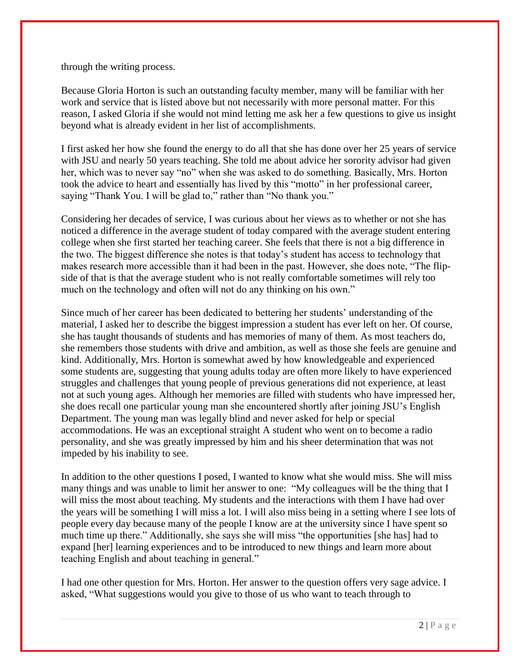through the writing process.

Because Gloria Horton is such an outstanding faculty member, many will be familiar with her work and service that is listed above but not necessarily with more personal matter. For this reason, I asked Gloria if she would not mind letting me ask her a few questions to give us insight beyond what is already evident in her list of accomplishments.

I first asked her how she found the energy to do all that she has done over her 25 years of service with JSU and nearly 50 years teaching. She told me about advice her sorority advisor had given her, which was to never say "no" when she was asked to do something. Basically, Mrs. Horton took the advice to heart and essentially has lived by this "motto" in her professional career, saying "Thank You. I will be glad to," rather than "No thank you."

Considering her decades of service, I was curious about her views as to whether or not she has noticed a difference in the average student of today compared with the average student entering college when she first started her teaching career. She feels that there is not a big difference in the two. The biggest difference she notes is that today's student has access to technology that makes research more accessible than it had been in the past. However, she does note, "The flipside of that is that the average student who is not really comfortable sometimes will rely too much on the technology and often will not do any thinking on his own."

Since much of her career has been dedicated to bettering her students' understanding of the material, I asked her to describe the biggest impression a student has ever left on her. Of course, she has taught thousands of students and has memories of many of them. As most teachers do, she remembers those students with drive and ambition, as well as those she feels are genuine and kind. Additionally, Mrs. Horton is somewhat awed by how knowledgeable and experienced some students are, suggesting that young adults today are often more likely to have experienced struggles and challenges that young people of previous generations did not experience, at least not at such young ages. Although her memories are filled with students who have impressed her, she does recall one particular young man she encountered shortly after joining JSU's English Department. The young man was legally blind and never asked for help or special accommodations. He was an exceptional straight A student who went on to become a radio personality, and she was greatly impressed by him and his sheer determination that was not impeded by his inability to see.

In addition to the other questions I posed, I wanted to know what she would miss. She will miss many things and was unable to limit her answer to one: "My colleagues will be the thing that I will miss the most about teaching. My students and the interactions with them I have had over the years will be something I will miss a lot. I will also miss being in a setting where I see lots of people every day because many of the people I know are at the university since I have spent so much time up there." Additionally, she says she will miss "the opportunities [she has] had to expand [her] learning experiences and to be introduced to new things and learn more about teaching English and about teaching in general."

I had one other question for Mrs. Horton. Her answer to the question offers very sage advice. I asked, "What suggestions would you give to those of us who want to teach through to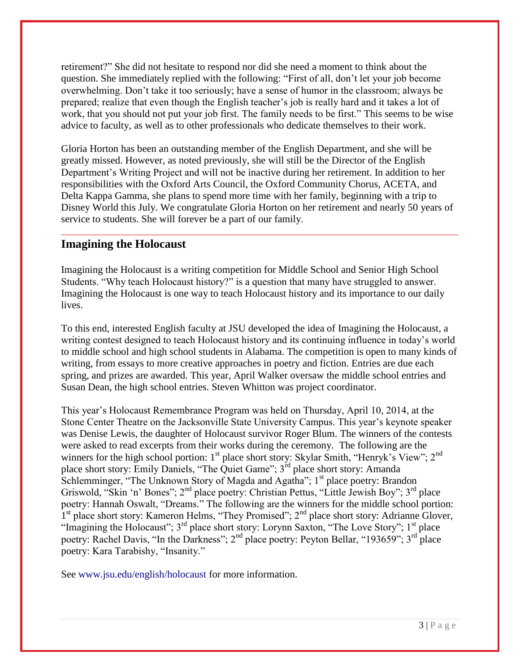retirement?" She did not hesitate to respond nor did she need a moment to think about the question. She immediately replied with the following: "First of all, don't let your job become overwhelming. Don't take it too seriously; have a sense of humor in the classroom; always be prepared; realize that even though the English teacher's job is really hard and it takes a lot of work, that you should not put your job first. The family needs to be first." This seems to be wise advice to faculty, as well as to other professionals who dedicate themselves to their work.

Gloria Horton has been an outstanding member of the English Department, and she will be greatly missed. However, as noted previously, she will still be the Director of the English Department's Writing Project and will not be inactive during her retirement. In addition to her responsibilities with the Oxford Arts Council, the Oxford Community Chorus, ACETA, and Delta Kappa Gamma, she plans to spend more time with her family, beginning with a trip to Disney World this July. We congratulate Gloria Horton on her retirement and nearly 50 years of service to students. She will forever be a part of our family.

\_\_\_\_\_\_\_\_\_\_\_\_\_\_\_\_\_\_\_\_\_\_\_\_\_\_\_\_\_\_\_\_\_\_\_\_\_\_\_\_\_\_\_\_\_\_\_\_\_\_\_\_\_\_\_\_\_\_\_\_\_\_\_\_\_\_\_\_\_\_\_\_\_\_\_\_\_\_

# **Imagining the Holocaust**

Imagining the Holocaust is a writing competition for Middle School and Senior High School Students. "Why teach Holocaust history?" is a question that many have struggled to answer. Imagining the Holocaust is one way to teach Holocaust history and its importance to our daily lives.

To this end, interested English faculty at JSU developed the idea of Imagining the Holocaust, a writing contest designed to teach Holocaust history and its continuing influence in today's world to middle school and high school students in Alabama. The competition is open to many kinds of writing, from essays to more creative approaches in poetry and fiction. Entries are due each spring, and prizes are awarded. This year, April Walker oversaw the middle school entries and Susan Dean, the high school entries. Steven Whitton was project coordinator.

This year's Holocaust Remembrance Program was held on Thursday, April 10, 2014, at the Stone Center Theatre on the Jacksonville State University Campus. This year's keynote speaker was Denise Lewis, the daughter of Holocaust survivor Roger Blum. The winners of the contests were asked to read excerpts from their works during the ceremony. The following are the winners for the high school portion: 1<sup>st</sup> place short story: Skylar Smith, "Henryk's View"; 2<sup>nd</sup> place short story: Emily Daniels, "The Quiet Game"; 3<sup>rd</sup> place short story: Amanda Schlemminger, "The Unknown Story of Magda and Agatha"; 1<sup>st</sup> place poetry: Brandon Griswold, "Skin 'n' Bones"; 2<sup>nd</sup> place poetry: Christian Pettus, "Little Jewish Boy"; 3<sup>rd</sup> place poetry: Hannah Oswalt, "Dreams." The following are the winners for the middle school portion:  $1<sup>st</sup>$  place short story: Kameron Helms, "They Promised";  $2<sup>nd</sup>$  place short story: Adrianne Glover, "Imagining the Holocaust"; 3<sup>rd</sup> place short story: Lorynn Saxton, "The Love Story"; 1<sup>st</sup> place poetry: Rachel Davis, "In the Darkness"; 2<sup>nd</sup> place poetry: Peyton Bellar, "193659"; 3<sup>rd</sup> place poetry: Kara Tarabishy, "Insanity."

See [www.jsu.edu/english/holocaust](http://www.jsu.edu/english/holocaust) for more information.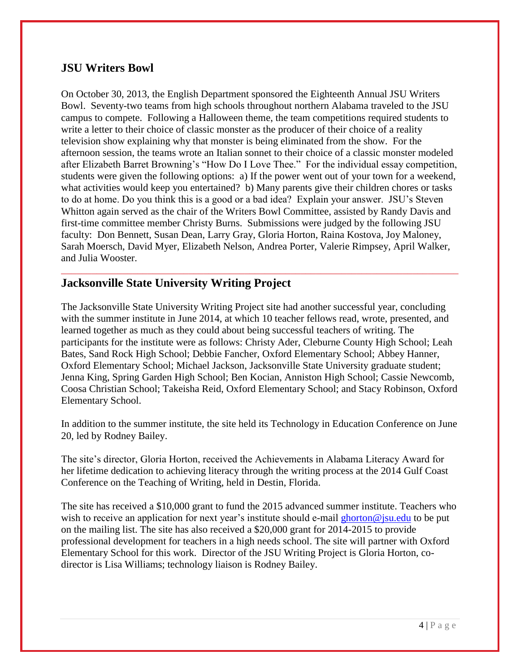# **JSU Writers Bowl**

On October 30, 2013, the English Department sponsored the Eighteenth Annual JSU Writers Bowl. Seventy-two teams from high schools throughout northern Alabama traveled to the JSU campus to compete. Following a Halloween theme, the team competitions required students to write a letter to their choice of classic monster as the producer of their choice of a reality television show explaining why that monster is being eliminated from the show. For the afternoon session, the teams wrote an Italian sonnet to their choice of a classic monster modeled after Elizabeth Barret Browning's "How Do I Love Thee." For the individual essay competition, students were given the following options: a) If the power went out of your town for a weekend, what activities would keep you entertained? b) Many parents give their children chores or tasks to do at home. Do you think this is a good or a bad idea? Explain your answer. JSU's Steven Whitton again served as the chair of the Writers Bowl Committee, assisted by Randy Davis and first-time committee member Christy Burns. Submissions were judged by the following JSU faculty: Don Bennett, Susan Dean, Larry Gray, Gloria Horton, Raina Kostova, Joy Maloney, Sarah Moersch, David Myer, Elizabeth Nelson, Andrea Porter, Valerie Rimpsey, April Walker, and Julia Wooster.

# **Jacksonville State University Writing Project**

The Jacksonville State University Writing Project site had another successful year, concluding with the summer institute in June 2014, at which 10 teacher fellows read, wrote, presented, and learned together as much as they could about being successful teachers of writing. The participants for the institute were as follows: Christy Ader, Cleburne County High School; Leah Bates, Sand Rock High School; Debbie Fancher, Oxford Elementary School; Abbey Hanner, Oxford Elementary School; Michael Jackson, Jacksonville State University graduate student; Jenna King, Spring Garden High School; Ben Kocian, Anniston High School; Cassie Newcomb, Coosa Christian School; Takeisha Reid, Oxford Elementary School; and Stacy Robinson, Oxford Elementary School.

\_\_\_\_\_\_\_\_\_\_\_\_\_\_\_\_\_\_\_\_\_\_\_\_\_\_\_\_\_\_\_\_\_\_\_\_\_\_\_\_\_\_\_\_\_\_\_\_\_\_\_\_\_\_\_\_\_\_\_\_\_\_\_\_\_\_\_\_\_\_\_\_\_\_\_\_\_\_

In addition to the summer institute, the site held its Technology in Education Conference on June 20, led by Rodney Bailey.

The site's director, Gloria Horton, received the Achievements in Alabama Literacy Award for her lifetime dedication to achieving literacy through the writing process at the 2014 Gulf Coast Conference on the Teaching of Writing, held in Destin, Florida.

The site has received a \$10,000 grant to fund the 2015 advanced summer institute. Teachers who wish to receive an application for next year's institute should e-mail [ghorton@jsu.edu](mailto:ghorton@jsu.edu) to be put on the mailing list. The site has also received a \$20,000 grant for 2014-2015 to provide professional development for teachers in a high needs school. The site will partner with Oxford Elementary School for this work. Director of the JSU Writing Project is Gloria Horton, codirector is Lisa Williams; technology liaison is Rodney Bailey.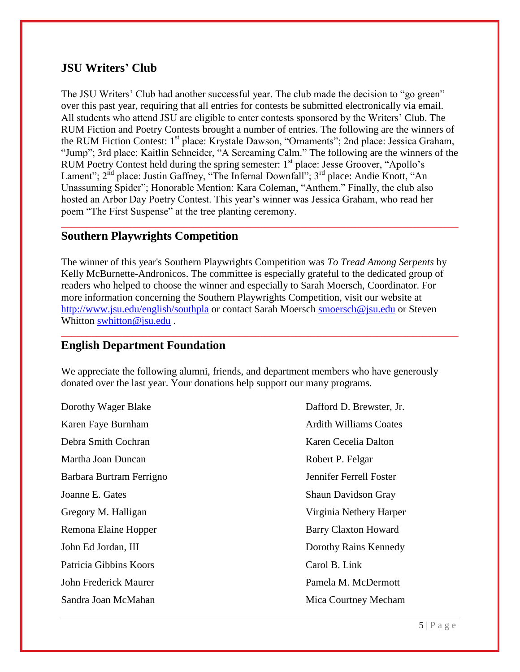# **JSU Writers' Club**

The JSU Writers' Club had another successful year. The club made the decision to "go green" over this past year, requiring that all entries for contests be submitted electronically via email. All students who attend JSU are eligible to enter contests sponsored by the Writers' Club. The RUM Fiction and Poetry Contests brought a number of entries. The following are the winners of the RUM Fiction Contest: 1<sup>st</sup> place: Krystale Dawson, "Ornaments"; 2nd place: Jessica Graham, "Jump"; 3rd place: Kaitlin Schneider, "A Screaming Calm." The following are the winners of the RUM Poetry Contest held during the spring semester:  $1<sup>st</sup>$  place: Jesse Groover, "Apollo's Lament";  $2^{nd}$  place: Justin Gaffney, "The Infernal Downfall";  $3^{rd}$  place: Andie Knott, "An Unassuming Spider"; Honorable Mention: Kara Coleman, "Anthem." Finally, the club also hosted an Arbor Day Poetry Contest. This year's winner was Jessica Graham, who read her poem "The First Suspense" at the tree planting ceremony.

\_\_\_\_\_\_\_\_\_\_\_\_\_\_\_\_\_\_\_\_\_\_\_\_\_\_\_\_\_\_\_\_\_\_\_\_\_\_\_\_\_\_\_\_\_\_\_\_\_\_\_\_\_\_\_\_\_\_\_\_\_\_\_\_\_\_\_\_\_\_\_\_\_\_\_\_\_\_

# **Southern Playwrights Competition**

The winner of this year's Southern Playwrights Competition was *To Tread Among Serpents* by Kelly McBurnette-Andronicos. The committee is especially grateful to the dedicated group of readers who helped to choose the winner and especially to Sarah Moersch, Coordinator. For more information concerning the Southern Playwrights Competition, visit our website at <http://www.jsu.edu/english/southpla> or contact Sarah Moersch [smoersch@jsu.edu](mailto:smoersch@jsu.edu) or Steven Whitton [swhitton@jsu.edu](mailto:swhitton@jsu.edu).

\_\_\_\_\_\_\_\_\_\_\_\_\_\_\_\_\_\_\_\_\_\_\_\_\_\_\_\_\_\_\_\_\_\_\_\_\_\_\_\_\_\_\_\_\_\_\_\_\_\_\_\_\_\_\_\_\_\_\_\_\_\_\_\_\_\_\_\_\_\_\_\_\_\_\_\_\_\_

### **English Department Foundation**

We appreciate the following alumni, friends, and department members who have generously donated over the last year. Your donations help support our many programs.

Dorothy Wager Blake Dafford D. Brewster, Jr. Karen Faye Burnham Ardith Williams Coates Debra Smith Cochran Karen Cecelia Dalton Martha Joan Duncan **Robert P. Felgar** Robert P. Felgar Barbara Burtram Ferrigno Jennifer Ferrell Foster Joanne E. Gates Shaun Davidson Gray Gregory M. Halligan Virginia Nethery Harper Remona Elaine Hopper Barry Claxton Howard John Ed Jordan, III Dorothy Rains Kennedy Patricia Gibbins Koors Carol B. Link John Frederick Maurer **Pamela M. McDermott** Sandra Joan McMahan Mica Courtney Mecham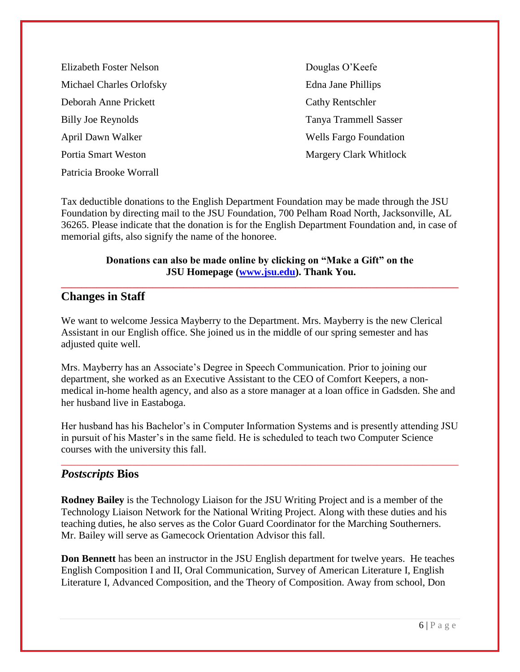Elizabeth Foster Nelson Douglas O'Keefe Michael Charles Orlofsky Edna Jane Phillips Deborah Anne Prickett Cathy Rentschler Billy Joe Reynolds Tanya Trammell Sasser April Dawn Walker Wells Fargo Foundation Portia Smart Weston **Margery Clark Whitlock** Patricia Brooke Worrall

Tax deductible donations to the English Department Foundation may be made through the JSU Foundation by directing mail to the JSU Foundation, 700 Pelham Road North, Jacksonville, AL 36265. Please indicate that the donation is for the English Department Foundation and, in case of memorial gifts, also signify the name of the honoree.

#### **Donations can also be made online by clicking on "Make a Gift" on the JSU Homepage [\(www.jsu.edu\)](http://www.jsu.edu/). Thank You.**

**\_\_\_\_\_\_\_\_\_\_\_\_\_\_\_\_\_\_\_\_\_\_\_\_\_\_\_\_\_\_\_\_\_\_\_\_\_\_\_\_\_\_\_\_\_\_\_\_\_\_\_\_\_\_\_\_\_\_\_\_\_\_\_\_\_\_\_\_\_\_\_\_\_\_\_\_\_\_**

## **Changes in Staff**

We want to welcome Jessica Mayberry to the Department. Mrs. Mayberry is the new Clerical Assistant in our English office. She joined us in the middle of our spring semester and has adjusted quite well.

Mrs. Mayberry has an Associate's Degree in Speech Communication. Prior to joining our department, she worked as an Executive Assistant to the CEO of Comfort Keepers, a nonmedical in-home health agency, and also as a store manager at a loan office in Gadsden. She and her husband live in Eastaboga.

Her husband has his Bachelor's in Computer Information Systems and is presently attending JSU in pursuit of his Master's in the same field. He is scheduled to teach two Computer Science courses with the university this fall.

\_\_\_\_\_\_\_\_\_\_\_\_\_\_\_\_\_\_\_\_\_\_\_\_\_\_\_\_\_\_\_\_\_\_\_\_\_\_\_\_\_\_\_\_\_\_\_\_\_\_\_\_\_\_\_\_\_\_\_\_\_\_\_\_\_\_\_\_\_\_\_\_\_\_\_\_\_\_

### *Postscripts* **Bios**

**Rodney Bailey** is the Technology Liaison for the JSU Writing Project and is a member of the Technology Liaison Network for the National Writing Project. Along with these duties and his teaching duties, he also serves as the Color Guard Coordinator for the Marching Southerners. Mr. Bailey will serve as Gamecock Orientation Advisor this fall.

**Don Bennett** has been an instructor in the JSU English department for twelve years. He teaches English Composition I and II, Oral Communication, Survey of American Literature I, English Literature I, Advanced Composition, and the Theory of Composition. Away from school, Don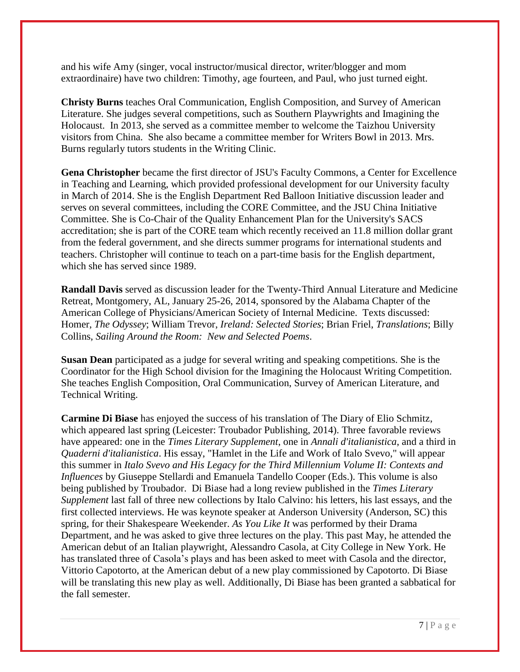and his wife Amy (singer, vocal instructor/musical director, writer/blogger and mom extraordinaire) have two children: Timothy, age fourteen, and Paul, who just turned eight.

**Christy Burns** teaches Oral Communication, English Composition, and Survey of American Literature. She judges several competitions, such as Southern Playwrights and Imagining the Holocaust. In 2013, she served as a committee member to welcome the Taizhou University visitors from China. She also became a committee member for Writers Bowl in 2013. Mrs. Burns regularly tutors students in the Writing Clinic.

**Gena Christopher** became the first director of JSU's Faculty Commons, a Center for Excellence in Teaching and Learning, which provided professional development for our University faculty in March of 2014. She is the English Department Red Balloon Initiative discussion leader and serves on several committees, including the CORE Committee, and the JSU China Initiative Committee. She is Co-Chair of the Quality Enhancement Plan for the University's SACS accreditation; she is part of the CORE team which recently received an 11.8 million dollar grant from the federal government, and she directs summer programs for international students and teachers. Christopher will continue to teach on a part-time basis for the English department, which she has served since 1989.

**Randall Davis** served as discussion leader for the Twenty-Third Annual Literature and Medicine Retreat, Montgomery, AL, January 25-26, 2014, sponsored by the Alabama Chapter of the American College of Physicians/American Society of Internal Medicine. Texts discussed: Homer, *The Odyssey*; William Trevor, *Ireland: Selected Stories*; Brian Friel, *Translations*; Billy Collins, *Sailing Around the Room: New and Selected Poems*.

**Susan Dean** participated as a judge for several writing and speaking competitions. She is the Coordinator for the High School division for the Imagining the Holocaust Writing Competition. She teaches English Composition, Oral Communication, Survey of American Literature, and Technical Writing.

**Carmine Di Biase** has enjoyed the success of his translation of The Diary of Elio Schmitz, which appeared last spring (Leicester: Troubador Publishing, 2014). Three favorable reviews have appeared: one in the *Times Literary Supplement*, one in *Annali d'italianistica*, and a third in *Quaderni d'italianistica*. His essay, "Hamlet in the Life and Work of Italo Svevo," will appear this summer in *Italo Svevo and His Legacy for the Third Millennium Volume II: Contexts and Influences* by Giuseppe Stellardi and Emanuela Tandello Cooper (Eds.). This volume is also being published by Troubador. Di Biase had a long review published in the *Times Literary Supplement* last fall of three new collections by Italo Calvino: his letters, his last essays, and the first collected interviews. He was keynote speaker at Anderson University (Anderson, SC) this spring, for their Shakespeare Weekender. *As You Like It* was performed by their Drama Department, and he was asked to give three lectures on the play. This past May, he attended the American debut of an Italian playwright, Alessandro Casola, at City College in New York. He has translated three of Casola's plays and has been asked to meet with Casola and the director, Vittorio Capotorto, at the American debut of a new play commissioned by Capotorto. Di Biase will be translating this new play as well. Additionally, Di Biase has been granted a sabbatical for the fall semester.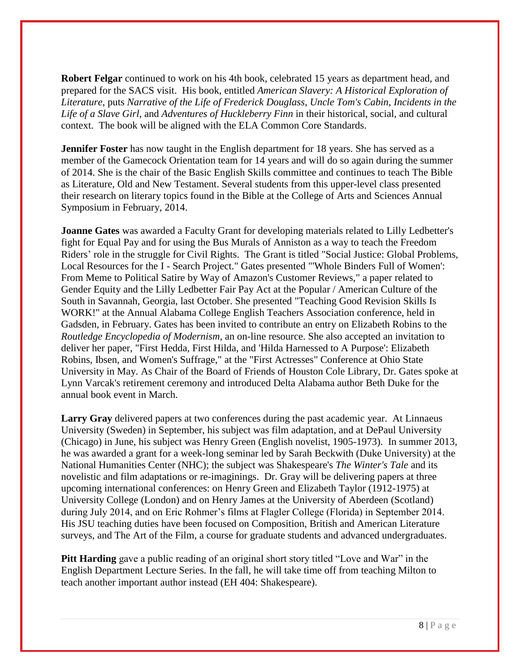**Robert Felgar** continued to work on his 4th book, celebrated 15 years as department head, and prepared for the SACS visit. His book, entitled *American Slavery: A Historical Exploration of Literature*, puts *Narrative of the Life of Frederick Douglass*, *Uncle Tom's Cabin*, *Incidents in the Life of a Slave Girl*, and *Adventures of Huckleberry Finn* in their historical, social, and cultural context. The book will be aligned with the ELA Common Core Standards.

**Jennifer Foster** has now taught in the English department for 18 years. She has served as a member of the Gamecock Orientation team for 14 years and will do so again during the summer of 2014. She is the chair of the Basic English Skills committee and continues to teach The Bible as Literature, Old and New Testament. Several students from this upper-level class presented their research on literary topics found in the Bible at the College of Arts and Sciences Annual Symposium in February, 2014.

**Joanne Gates** was awarded a Faculty Grant for developing materials related to Lilly Ledbetter's fight for Equal Pay and for using the Bus Murals of Anniston as a way to teach the Freedom Riders' role in the struggle for Civil Rights. The Grant is titled "Social Justice: Global Problems, Local Resources for the I - Search Project." Gates presented "'Whole Binders Full of Women': From Meme to Political Satire by Way of Amazon's Customer Reviews," a paper related to Gender Equity and the Lilly Ledbetter Fair Pay Act at the Popular / American Culture of the South in Savannah, Georgia, last October. She presented "Teaching Good Revision Skills Is WORK!" at the Annual Alabama College English Teachers Association conference, held in Gadsden, in February. Gates has been invited to contribute an entry on Elizabeth Robins to the *Routledge Encyclopedia of Modernism*, an on-line resource. She also accepted an invitation to deliver her paper, "First Hedda, First Hilda, and 'Hilda Harnessed to A Purpose': Elizabeth Robins, Ibsen, and Women's Suffrage," at the "First Actresses" Conference at Ohio State University in May. As Chair of the Board of Friends of Houston Cole Library, Dr. Gates spoke at Lynn Varcak's retirement ceremony and introduced Delta Alabama author Beth Duke for the annual book event in March.

**Larry Gray** delivered papers at two conferences during the past academic year. At Linnaeus University (Sweden) in September, his subject was film adaptation, and at DePaul University (Chicago) in June, his subject was Henry Green (English novelist, 1905-1973). In summer 2013, he was awarded a grant for a week-long seminar led by Sarah Beckwith (Duke University) at the National Humanities Center (NHC); the subject was Shakespeare's *The Winter's Tale* and its novelistic and film adaptations or re-imaginings. Dr. Gray will be delivering papers at three upcoming international conferences: on Henry Green and Elizabeth Taylor (1912-1975) at University College (London) and on Henry James at the University of Aberdeen (Scotland) during July 2014, and on Eric Rohmer's films at Flagler College (Florida) in September 2014. His JSU teaching duties have been focused on Composition, British and American Literature surveys, and The Art of the Film, a course for graduate students and advanced undergraduates.

**Pitt Harding** gave a public reading of an original short story titled "Love and War" in the English Department Lecture Series. In the fall, he will take time off from teaching Milton to teach another important author instead (EH 404: Shakespeare).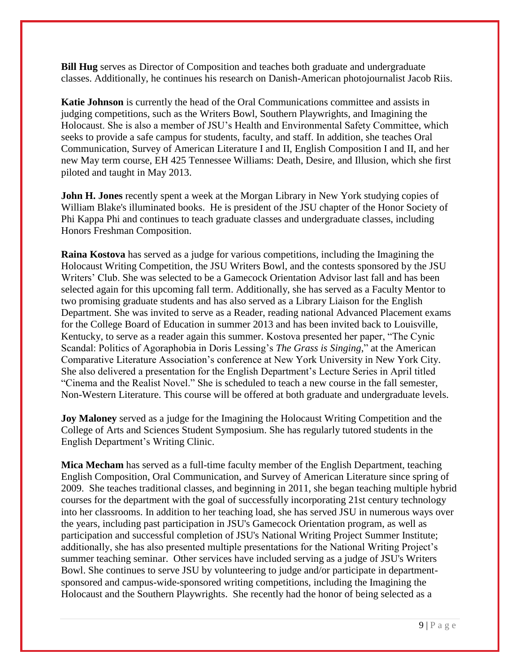**Bill Hug** serves as Director of Composition and teaches both graduate and undergraduate classes. Additionally, he continues his research on Danish-American photojournalist Jacob Riis.

**Katie Johnson** is currently the head of the Oral Communications committee and assists in judging competitions, such as the Writers Bowl, Southern Playwrights, and Imagining the Holocaust. She is also a member of JSU's Health and Environmental Safety Committee, which seeks to provide a safe campus for students, faculty, and staff. In addition, she teaches Oral Communication, Survey of American Literature I and II, English Composition I and II, and her new May term course, EH 425 Tennessee Williams: Death, Desire, and Illusion, which she first piloted and taught in May 2013.

**John H. Jones** recently spent a week at the Morgan Library in New York studying copies of William Blake's illuminated books. He is president of the JSU chapter of the Honor Society of Phi Kappa Phi and continues to teach graduate classes and undergraduate classes, including Honors Freshman Composition.

**Raina Kostova** has served as a judge for various competitions, including the Imagining the Holocaust Writing Competition, the JSU Writers Bowl, and the contests sponsored by the JSU Writers' Club. She was selected to be a Gamecock Orientation Advisor last fall and has been selected again for this upcoming fall term. Additionally, she has served as a Faculty Mentor to two promising graduate students and has also served as a Library Liaison for the English Department. She was invited to serve as a Reader, reading national Advanced Placement exams for the College Board of Education in summer 2013 and has been invited back to Louisville, Kentucky, to serve as a reader again this summer. Kostova presented her paper, "The Cynic Scandal: Politics of Agoraphobia in Doris Lessing's *The Grass is Singing*," at the American Comparative Literature Association's conference at New York University in New York City. She also delivered a presentation for the English Department's Lecture Series in April titled "Cinema and the Realist Novel." She is scheduled to teach a new course in the fall semester, Non-Western Literature. This course will be offered at both graduate and undergraduate levels.

**Joy Maloney** served as a judge for the Imagining the Holocaust Writing Competition and the College of Arts and Sciences Student Symposium. She has regularly tutored students in the English Department's Writing Clinic.

**Mica Mecham** has served as a full-time faculty member of the English Department, teaching English Composition, Oral Communication, and Survey of American Literature since spring of 2009. She teaches traditional classes, and beginning in 2011, she began teaching multiple hybrid courses for the department with the goal of successfully incorporating 21st century technology into her classrooms. In addition to her teaching load, she has served JSU in numerous ways over the years, including past participation in JSU's Gamecock Orientation program, as well as participation and successful completion of JSU's National Writing Project Summer Institute; additionally, she has also presented multiple presentations for the National Writing Project's summer teaching seminar. Other services have included serving as a judge of JSU's Writers Bowl. She continues to serve JSU by volunteering to judge and/or participate in departmentsponsored and campus-wide-sponsored writing competitions, including the Imagining the Holocaust and the Southern Playwrights. She recently had the honor of being selected as a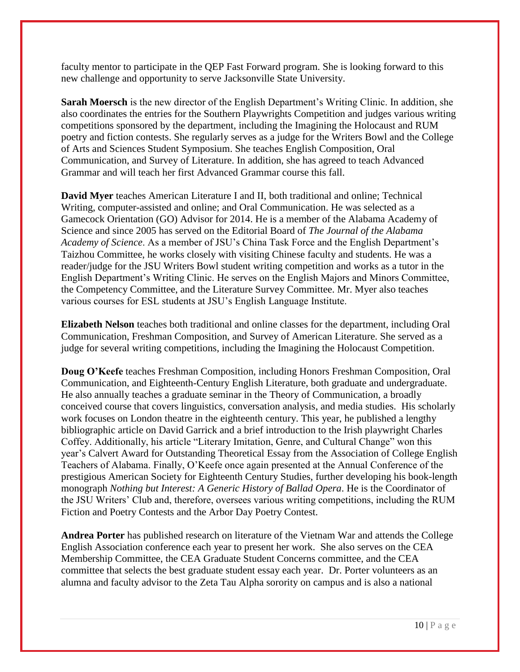faculty mentor to participate in the QEP Fast Forward program. She is looking forward to this new challenge and opportunity to serve Jacksonville State University.

**Sarah Moersch** is the new director of the English Department's Writing Clinic. In addition, she also coordinates the entries for the Southern Playwrights Competition and judges various writing competitions sponsored by the department, including the Imagining the Holocaust and RUM poetry and fiction contests. She regularly serves as a judge for the Writers Bowl and the College of Arts and Sciences Student Symposium. She teaches English Composition, Oral Communication, and Survey of Literature. In addition, she has agreed to teach Advanced Grammar and will teach her first Advanced Grammar course this fall.

**David Myer** teaches American Literature I and II, both traditional and online; Technical Writing, computer-assisted and online; and Oral Communication. He was selected as a Gamecock Orientation (GO) Advisor for 2014. He is a member of the Alabama Academy of Science and since 2005 has served on the Editorial Board of *The Journal of the Alabama Academy of Science*. As a member of JSU's China Task Force and the English Department's Taizhou Committee, he works closely with visiting Chinese faculty and students. He was a reader/judge for the JSU Writers Bowl student writing competition and works as a tutor in the English Department's Writing Clinic. He serves on the English Majors and Minors Committee, the Competency Committee, and the Literature Survey Committee. Mr. Myer also teaches various courses for ESL students at JSU's English Language Institute.

**Elizabeth Nelson** teaches both traditional and online classes for the department, including Oral Communication, Freshman Composition, and Survey of American Literature. She served as a judge for several writing competitions, including the Imagining the Holocaust Competition.

**Doug O'Keefe** teaches Freshman Composition, including Honors Freshman Composition, Oral Communication, and Eighteenth-Century English Literature, both graduate and undergraduate. He also annually teaches a graduate seminar in the Theory of Communication, a broadly conceived course that covers linguistics, conversation analysis, and media studies. His scholarly work focuses on London theatre in the eighteenth century. This year, he published a lengthy bibliographic article on David Garrick and a brief introduction to the Irish playwright Charles Coffey. Additionally, his article "Literary Imitation, Genre, and Cultural Change" won this year's Calvert Award for Outstanding Theoretical Essay from the Association of College English Teachers of Alabama. Finally, O'Keefe once again presented at the Annual Conference of the prestigious American Society for Eighteenth Century Studies, further developing his book-length monograph *Nothing but Interest: A Generic History of Ballad Opera*. He is the Coordinator of the JSU Writers' Club and, therefore, oversees various writing competitions, including the RUM Fiction and Poetry Contests and the Arbor Day Poetry Contest.

**Andrea Porter** has published research on literature of the Vietnam War and attends the College English Association conference each year to present her work. She also serves on the CEA Membership Committee, the CEA Graduate Student Concerns committee, and the CEA committee that selects the best graduate student essay each year. Dr. Porter volunteers as an alumna and faculty advisor to the Zeta Tau Alpha sorority on campus and is also a national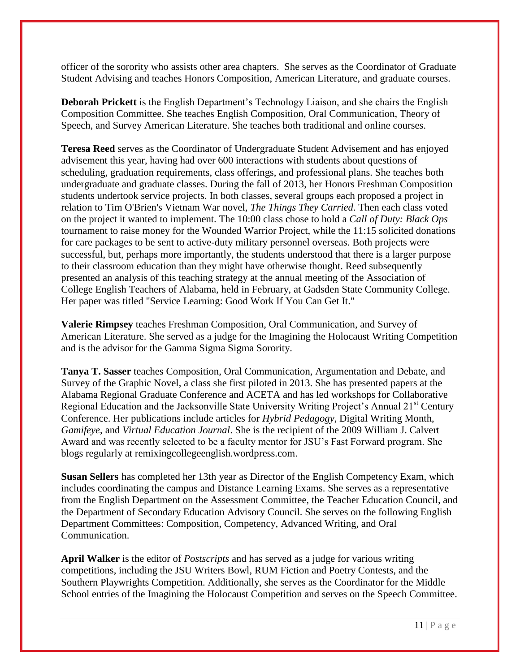officer of the sorority who assists other area chapters. She serves as the Coordinator of Graduate Student Advising and teaches Honors Composition, American Literature, and graduate courses.

**Deborah Prickett** is the English Department's Technology Liaison, and she chairs the English Composition Committee. She teaches English Composition, Oral Communication, Theory of Speech, and Survey American Literature. She teaches both traditional and online courses.

**Teresa Reed** serves as the Coordinator of Undergraduate Student Advisement and has enjoyed advisement this year, having had over 600 interactions with students about questions of scheduling, graduation requirements, class offerings, and professional plans. She teaches both undergraduate and graduate classes. During the fall of 2013, her Honors Freshman Composition students undertook service projects. In both classes, several groups each proposed a project in relation to Tim O'Brien's Vietnam War novel, *The Things They Carried*. Then each class voted on the project it wanted to implement. The 10:00 class chose to hold a *Call of Duty: Black Ops* tournament to raise money for the Wounded Warrior Project, while the 11:15 solicited donations for care packages to be sent to active-duty military personnel overseas. Both projects were successful, but, perhaps more importantly, the students understood that there is a larger purpose to their classroom education than they might have otherwise thought. Reed subsequently presented an analysis of this teaching strategy at the annual meeting of the Association of College English Teachers of Alabama, held in February, at Gadsden State Community College. Her paper was titled "Service Learning: Good Work If You Can Get It."

**Valerie Rimpsey** teaches Freshman Composition, Oral Communication, and Survey of American Literature. She served as a judge for the Imagining the Holocaust Writing Competition and is the advisor for the Gamma Sigma Sigma Sorority.

**Tanya T. Sasser** teaches Composition, Oral Communication, Argumentation and Debate, and Survey of the Graphic Novel, a class she first piloted in 2013. She has presented papers at the Alabama Regional Graduate Conference and ACETA and has led workshops for Collaborative Regional Education and the Jacksonville State University Writing Project's Annual 21<sup>st</sup> Century Conference. Her publications include articles for *Hybrid Pedagogy*, Digital Writing Month, *Gamifeye*, and *Virtual Education Journal*. She is the recipient of the 2009 William J. Calvert Award and was recently selected to be a faculty mentor for JSU's Fast Forward program. She blogs regularly at remixingcollegeenglish.wordpress.com.

**Susan Sellers** has completed her 13th year as Director of the English Competency Exam, which includes coordinating the campus and Distance Learning Exams. She serves as a representative from the English Department on the Assessment Committee, the Teacher Education Council, and the Department of Secondary Education Advisory Council. She serves on the following English Department Committees: Composition, Competency, Advanced Writing, and Oral Communication.

**April Walker** is the editor of *Postscripts* and has served as a judge for various writing competitions, including the JSU Writers Bowl, RUM Fiction and Poetry Contests, and the Southern Playwrights Competition. Additionally, she serves as the Coordinator for the Middle School entries of the Imagining the Holocaust Competition and serves on the Speech Committee.